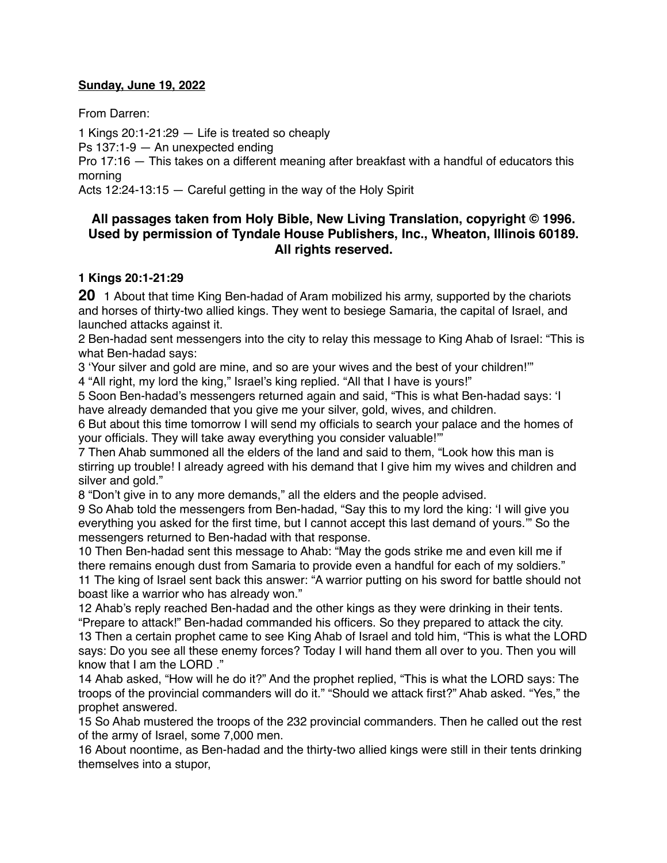#### **Sunday, June 19, 2022**

From Darren:

1 Kings 20:1-21:29 — Life is treated so cheaply

Ps 137:1-9 — An unexpected ending

Pro 17:16 — This takes on a different meaning after breakfast with a handful of educators this morning

Acts 12:24-13:15 — Careful getting in the way of the Holy Spirit

# **All passages taken from Holy Bible, [New Living Translation](http://www.newlivingtranslation.com/), copyright © 1996. Used by permission of [Tyndale House Publishers](http://tyndale.com/), Inc., Wheaton, Illinois 60189. All rights reserved.**

# **1 Kings 20:1-21:29**

**20** 1 About that time King Ben-hadad of Aram mobilized his army, supported by the chariots and horses of thirty-two allied kings. They went to besiege Samaria, the capital of Israel, and launched attacks against it.

2 Ben-hadad sent messengers into the city to relay this message to King Ahab of Israel: "This is what Ben-hadad says:

3 'Your silver and gold are mine, and so are your wives and the best of your children!'"

4 "All right, my lord the king," Israel's king replied. "All that I have is yours!"

5 Soon Ben-hadad's messengers returned again and said, "This is what Ben-hadad says: 'I have already demanded that you give me your silver, gold, wives, and children.

6 But about this time tomorrow I will send my officials to search your palace and the homes of your officials. They will take away everything you consider valuable!'"

7 Then Ahab summoned all the elders of the land and said to them, "Look how this man is stirring up trouble! I already agreed with his demand that I give him my wives and children and silver and gold."

8 "Don't give in to any more demands," all the elders and the people advised.

9 So Ahab told the messengers from Ben-hadad, "Say this to my lord the king: 'I will give you everything you asked for the first time, but I cannot accept this last demand of yours.'" So the messengers returned to Ben-hadad with that response.

10 Then Ben-hadad sent this message to Ahab: "May the gods strike me and even kill me if there remains enough dust from Samaria to provide even a handful for each of my soldiers." 11 The king of Israel sent back this answer: "A warrior putting on his sword for battle should not

boast like a warrior who has already won."

12 Ahab's reply reached Ben-hadad and the other kings as they were drinking in their tents. "Prepare to attack!" Ben-hadad commanded his officers. So they prepared to attack the city. 13 Then a certain prophet came to see King Ahab of Israel and told him, "This is what the LORD says: Do you see all these enemy forces? Today I will hand them all over to you. Then you will know that I am the LORD ."

14 Ahab asked, "How will he do it?" And the prophet replied, "This is what the LORD says: The troops of the provincial commanders will do it." "Should we attack first?" Ahab asked. "Yes," the prophet answered.

15 So Ahab mustered the troops of the 232 provincial commanders. Then he called out the rest of the army of Israel, some 7,000 men.

16 About noontime, as Ben-hadad and the thirty-two allied kings were still in their tents drinking themselves into a stupor,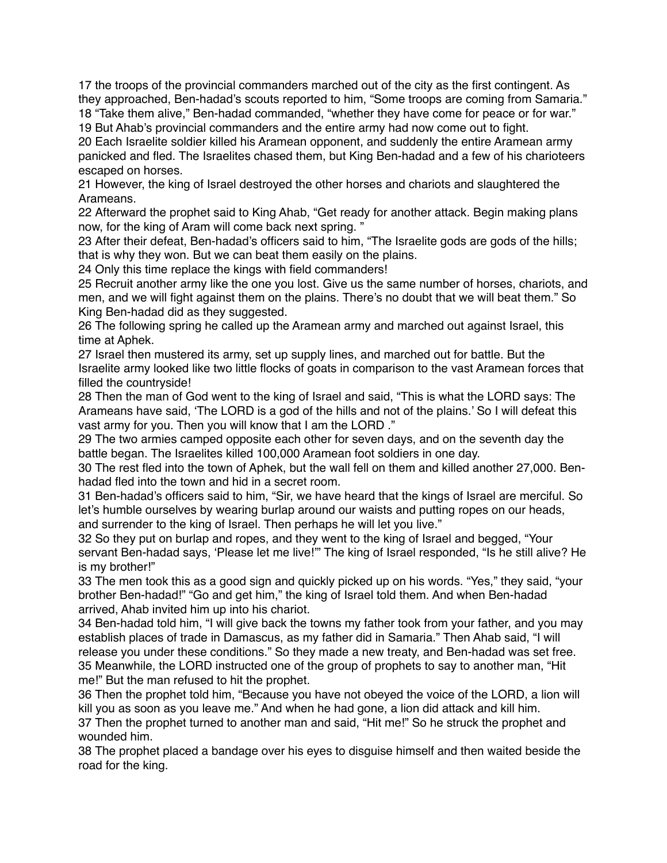17 the troops of the provincial commanders marched out of the city as the first contingent. As they approached, Ben-hadad's scouts reported to him, "Some troops are coming from Samaria." 18 "Take them alive," Ben-hadad commanded, "whether they have come for peace or for war."

19 But Ahab's provincial commanders and the entire army had now come out to fight.

20 Each Israelite soldier killed his Aramean opponent, and suddenly the entire Aramean army panicked and fled. The Israelites chased them, but King Ben-hadad and a few of his charioteers escaped on horses.

21 However, the king of Israel destroyed the other horses and chariots and slaughtered the Arameans.

22 Afterward the prophet said to King Ahab, "Get ready for another attack. Begin making plans now, for the king of Aram will come back next spring. "

23 After their defeat, Ben-hadad's officers said to him, "The Israelite gods are gods of the hills; that is why they won. But we can beat them easily on the plains.

24 Only this time replace the kings with field commanders!

25 Recruit another army like the one you lost. Give us the same number of horses, chariots, and men, and we will fight against them on the plains. There's no doubt that we will beat them." So King Ben-hadad did as they suggested.

26 The following spring he called up the Aramean army and marched out against Israel, this time at Aphek.

27 Israel then mustered its army, set up supply lines, and marched out for battle. But the Israelite army looked like two little flocks of goats in comparison to the vast Aramean forces that filled the countryside!

28 Then the man of God went to the king of Israel and said, "This is what the LORD says: The Arameans have said, 'The LORD is a god of the hills and not of the plains.' So I will defeat this vast army for you. Then you will know that I am the LORD ."

29 The two armies camped opposite each other for seven days, and on the seventh day the battle began. The Israelites killed 100,000 Aramean foot soldiers in one day.

30 The rest fled into the town of Aphek, but the wall fell on them and killed another 27,000. Benhadad fled into the town and hid in a secret room.

31 Ben-hadad's officers said to him, "Sir, we have heard that the kings of Israel are merciful. So let's humble ourselves by wearing burlap around our waists and putting ropes on our heads, and surrender to the king of Israel. Then perhaps he will let you live."

32 So they put on burlap and ropes, and they went to the king of Israel and begged, "Your servant Ben-hadad says, 'Please let me live!" The king of Israel responded, "Is he still alive? He is my brother!"

33 The men took this as a good sign and quickly picked up on his words. "Yes," they said, "your brother Ben-hadad!" "Go and get him," the king of Israel told them. And when Ben-hadad arrived, Ahab invited him up into his chariot.

34 Ben-hadad told him, "I will give back the towns my father took from your father, and you may establish places of trade in Damascus, as my father did in Samaria." Then Ahab said, "I will release you under these conditions." So they made a new treaty, and Ben-hadad was set free. 35 Meanwhile, the LORD instructed one of the group of prophets to say to another man, "Hit me!" But the man refused to hit the prophet.

36 Then the prophet told him, "Because you have not obeyed the voice of the LORD, a lion will kill you as soon as you leave me." And when he had gone, a lion did attack and kill him.

37 Then the prophet turned to another man and said, "Hit me!" So he struck the prophet and wounded him.

38 The prophet placed a bandage over his eyes to disguise himself and then waited beside the road for the king.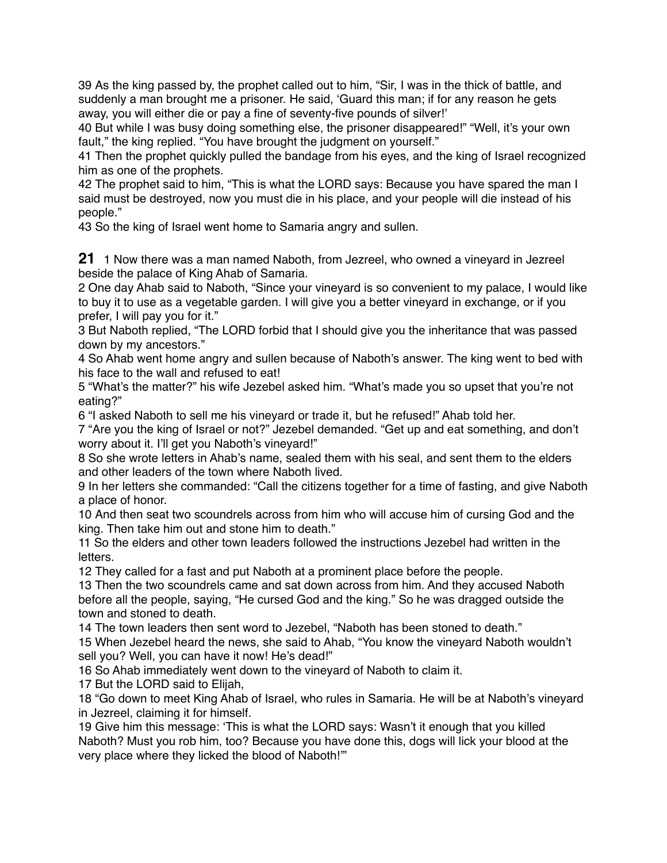39 As the king passed by, the prophet called out to him, "Sir, I was in the thick of battle, and suddenly a man brought me a prisoner. He said, 'Guard this man; if for any reason he gets away, you will either die or pay a fine of seventy-five pounds of silver!'

40 But while I was busy doing something else, the prisoner disappeared!" "Well, it's your own fault," the king replied. "You have brought the judgment on yourself."

41 Then the prophet quickly pulled the bandage from his eyes, and the king of Israel recognized him as one of the prophets.

42 The prophet said to him, "This is what the LORD says: Because you have spared the man I said must be destroyed, now you must die in his place, and your people will die instead of his people."

43 So the king of Israel went home to Samaria angry and sullen.

**21** 1 Now there was a man named Naboth, from Jezreel, who owned a vineyard in Jezreel beside the palace of King Ahab of Samaria.

2 One day Ahab said to Naboth, "Since your vineyard is so convenient to my palace, I would like to buy it to use as a vegetable garden. I will give you a better vineyard in exchange, or if you prefer, I will pay you for it."

3 But Naboth replied, "The LORD forbid that I should give you the inheritance that was passed down by my ancestors."

4 So Ahab went home angry and sullen because of Naboth's answer. The king went to bed with his face to the wall and refused to eat!

5 "What's the matter?" his wife Jezebel asked him. "What's made you so upset that you're not eating?"

6 "I asked Naboth to sell me his vineyard or trade it, but he refused!" Ahab told her.

7 "Are you the king of Israel or not?" Jezebel demanded. "Get up and eat something, and don't worry about it. I'll get you Naboth's vineyard!"

8 So she wrote letters in Ahab's name, sealed them with his seal, and sent them to the elders and other leaders of the town where Naboth lived.

9 In her letters she commanded: "Call the citizens together for a time of fasting, and give Naboth a place of honor.

10 And then seat two scoundrels across from him who will accuse him of cursing God and the king. Then take him out and stone him to death."

11 So the elders and other town leaders followed the instructions Jezebel had written in the letters.

12 They called for a fast and put Naboth at a prominent place before the people.

13 Then the two scoundrels came and sat down across from him. And they accused Naboth before all the people, saying, "He cursed God and the king." So he was dragged outside the town and stoned to death.

14 The town leaders then sent word to Jezebel, "Naboth has been stoned to death."

15 When Jezebel heard the news, she said to Ahab, "You know the vineyard Naboth wouldn't sell you? Well, you can have it now! He's dead!"

16 So Ahab immediately went down to the vineyard of Naboth to claim it.

17 But the LORD said to Elijah,

18 "Go down to meet King Ahab of Israel, who rules in Samaria. He will be at Naboth's vineyard in Jezreel, claiming it for himself.

19 Give him this message: 'This is what the LORD says: Wasn't it enough that you killed Naboth? Must you rob him, too? Because you have done this, dogs will lick your blood at the very place where they licked the blood of Naboth!'"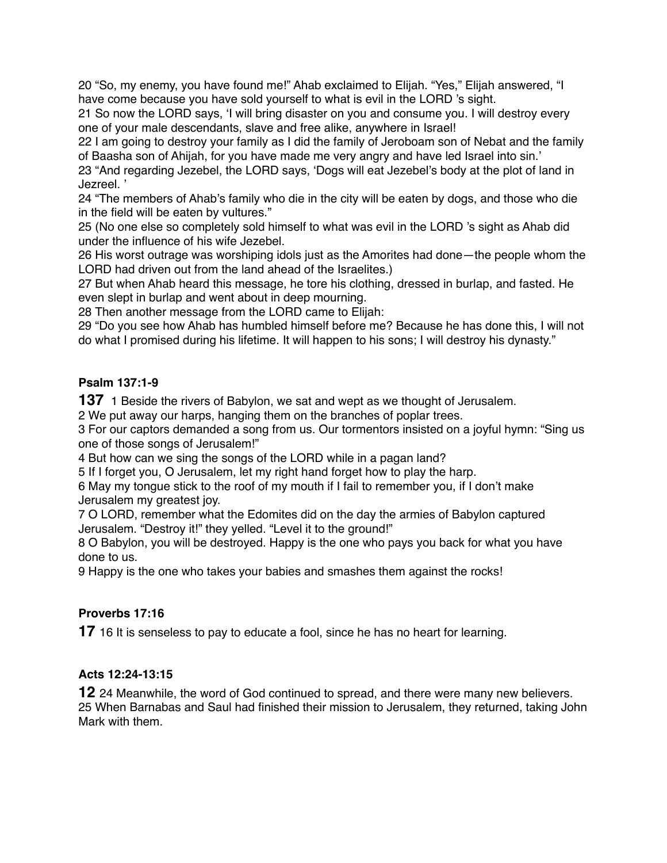20 "So, my enemy, you have found me!" Ahab exclaimed to Elijah. "Yes," Elijah answered, "I have come because you have sold yourself to what is evil in the LORD 's sight.

21 So now the LORD says, 'I will bring disaster on you and consume you. I will destroy every one of your male descendants, slave and free alike, anywhere in Israel!

22 I am going to destroy your family as I did the family of Jeroboam son of Nebat and the family of Baasha son of Ahijah, for you have made me very angry and have led Israel into sin.'

23 "And regarding Jezebel, the LORD says, 'Dogs will eat Jezebel's body at the plot of land in Jezreel. '

24 "The members of Ahab's family who die in the city will be eaten by dogs, and those who die in the field will be eaten by vultures."

25 (No one else so completely sold himself to what was evil in the LORD 's sight as Ahab did under the influence of his wife Jezebel.

26 His worst outrage was worshiping idols just as the Amorites had done—the people whom the LORD had driven out from the land ahead of the Israelites.)

27 But when Ahab heard this message, he tore his clothing, dressed in burlap, and fasted. He even slept in burlap and went about in deep mourning.

28 Then another message from the LORD came to Elijah:

29 "Do you see how Ahab has humbled himself before me? Because he has done this, I will not do what I promised during his lifetime. It will happen to his sons; I will destroy his dynasty."

### **Psalm 137:1-9**

**137** 1 Beside the rivers of Babylon, we sat and wept as we thought of Jerusalem.

2 We put away our harps, hanging them on the branches of poplar trees.

3 For our captors demanded a song from us. Our tormentors insisted on a joyful hymn: "Sing us one of those songs of Jerusalem!"

4 But how can we sing the songs of the LORD while in a pagan land?

5 If I forget you, O Jerusalem, let my right hand forget how to play the harp.

6 May my tongue stick to the roof of my mouth if I fail to remember you, if I don't make Jerusalem my greatest joy.

7 O LORD, remember what the Edomites did on the day the armies of Babylon captured Jerusalem. "Destroy it!" they yelled. "Level it to the ground!"

8 O Babylon, you will be destroyed. Happy is the one who pays you back for what you have done to us.

9 Happy is the one who takes your babies and smashes them against the rocks!

# **Proverbs 17:16**

**17** 16 It is senseless to pay to educate a fool, since he has no heart for learning.

# **Acts 12:24-13:15**

**12** 24 Meanwhile, the word of God continued to spread, and there were many new believers. 25 When Barnabas and Saul had finished their mission to Jerusalem, they returned, taking John Mark with them.